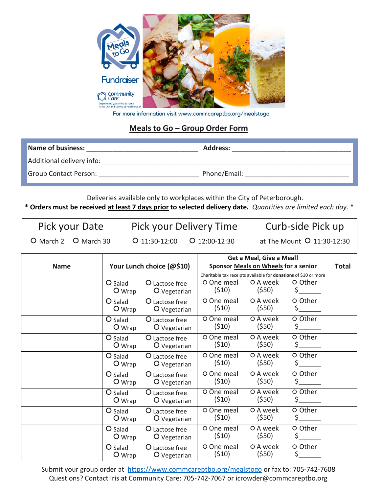

For more information visit www.commcareptbo.org/mealstogo

## **Meals to Go – Group Order Form**

| Name of business:            | <b>Address:</b> |
|------------------------------|-----------------|
| Additional delivery info:    |                 |
| <b>Group Contact Person:</b> | Phone/Email:    |

Deliveries available only to workplaces within the City of Peterborough.

**\* Orders must be received at least 7 days prior to selected delivery date.** *Quantities are limited each day*. **\***

Pick your Date Pick your Delivery Time Curb-side Pick up

○ March 2 ○ March 30 ○ 11:30-12:00 ○ 12:00-12:30 at The Mount ○ 11:30-12:30

|                                          |                       |                                      | Get a Meal, Give a Meal!                                               |                       |               |  |
|------------------------------------------|-----------------------|--------------------------------------|------------------------------------------------------------------------|-----------------------|---------------|--|
| Your Lunch choice (@\$10)<br><b>Name</b> |                       | Sponsor Meals on Wheels for a senior |                                                                        |                       | <b>Total</b>  |  |
|                                          |                       |                                      | Charitable tax receipts available for <b>donations</b> of \$10 or more |                       |               |  |
|                                          | O Salad<br>$O_{Wrap}$ | O Lactose free<br>O Vegetarian       | O One meal<br>(510)                                                    | O A week<br>(550)     | O Other<br>Ś  |  |
|                                          | O Salad<br>$O_{Wrap}$ | O Lactose free<br>O Vegetarian       | O One meal<br>(510)                                                    | O A week<br>(\$50)    | O Other<br>\$ |  |
|                                          | O Salad<br>$O_{Wrap}$ | O Lactose free<br>O Vegetarian       | O One meal<br>(510)                                                    | O A week<br>(\$50)    | O Other<br>\$ |  |
|                                          | O Salad<br>O Wrap     | O Lactose free<br>O Vegetarian       | O One meal<br>(510)                                                    | O A week<br>(\$50)    | O Other<br>\$ |  |
|                                          | O Salad<br>$O_{Wrap}$ | O Lactose free<br>O Vegetarian       | O One meal<br>(510)                                                    | O A week<br>$($ \$50) | O Other       |  |
|                                          | O Salad<br>$O_{Wrap}$ | O Lactose free<br>O Vegetarian       | O One meal<br>(510)                                                    | O A week<br>(\$50)    | O Other<br>\$ |  |
|                                          | O Salad<br>O Wrap     | O Lactose free<br>O Vegetarian       | O One meal<br>(510)                                                    | O A week<br>(\$50)    | O Other<br>\$ |  |
|                                          | O Salad<br>O Wrap     | O Lactose free<br>O Vegetarian       | O One meal<br>(510)                                                    | O A week<br>(\$50)    | O Other<br>Ś  |  |
|                                          | O Salad<br>$O_{Wrap}$ | O Lactose free<br>O Vegetarian       | O One meal<br>(510)                                                    | O A week<br>(\$50)    | O Other<br>\$ |  |
|                                          | O Salad<br>$O_{Wrap}$ | O Lactose free<br>O Vegetarian       | O One meal<br>(510)                                                    | O A week<br>(550)     | O Other<br>\$ |  |

Submit your group order at <https://www.commcareptbo.org/mealstogo> or fax to: 705-742-7608 Questions? Contact Iris at Community Care: 705-742-7067 or icrowder@commcareptbo.org